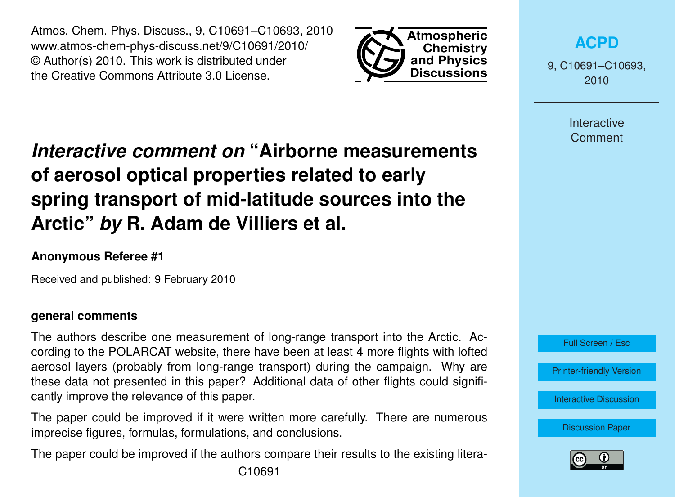Atmos. Chem. Phys. Discuss., 9, C10691–C10693, 2010 www.atmos-chem-phys-discuss.net/9/C10691/2010/ © Author(s) 2010. This work is distributed under the Creative Commons Attribute 3.0 License.



**[ACPD](http://www.atmos-chem-phys-discuss.net)**

9, C10691–C10693, 2010

> **Interactive Comment**

# *Interactive comment on* **"Airborne measurements of aerosol optical properties related to early spring transport of mid-latitude sources into the Arctic"** *by* **R. Adam de Villiers et al.**

### **Anonymous Referee #1**

Received and published: 9 February 2010

#### **general comments**

The authors describe one measurement of long-range transport into the Arctic. According to the POLARCAT website, there have been at least 4 more flights with lofted aerosol layers (probably from long-range transport) during the campaign. Why are these data not presented in this paper? Additional data of other flights could significantly improve the relevance of this paper.

The paper could be improved if it were written more carefully. There are numerous imprecise figures, formulas, formulations, and conclusions.

The paper could be improved if the authors compare their results to the existing litera-

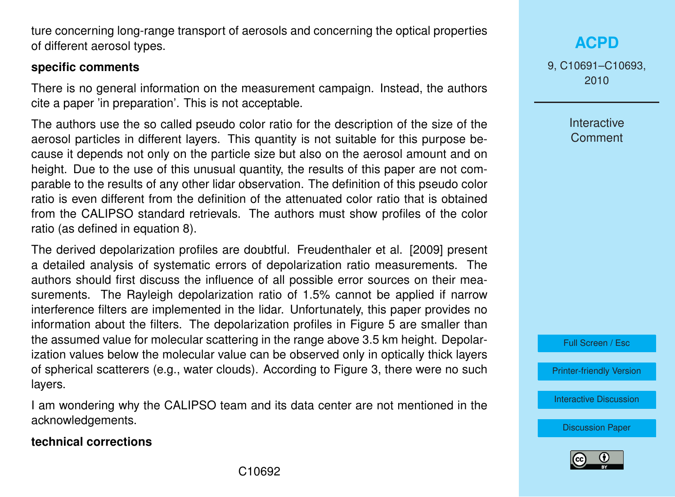ture concerning long-range transport of aerosols and concerning the optical properties of different aerosol types.

#### **specific comments**

There is no general information on the measurement campaign. Instead, the authors cite a paper 'in preparation'. This is not acceptable.

The authors use the so called pseudo color ratio for the description of the size of the aerosol particles in different layers. This quantity is not suitable for this purpose because it depends not only on the particle size but also on the aerosol amount and on height. Due to the use of this unusual quantity, the results of this paper are not comparable to the results of any other lidar observation. The definition of this pseudo color ratio is even different from the definition of the attenuated color ratio that is obtained from the CALIPSO standard retrievals. The authors must show profiles of the color ratio (as defined in equation 8).

The derived depolarization profiles are doubtful. Freudenthaler et al. [2009] present a detailed analysis of systematic errors of depolarization ratio measurements. The authors should first discuss the influence of all possible error sources on their measurements. The Rayleigh depolarization ratio of 1.5% cannot be applied if narrow interference filters are implemented in the lidar. Unfortunately, this paper provides no information about the filters. The depolarization profiles in Figure 5 are smaller than the assumed value for molecular scattering in the range above 3.5 km height. Depolarization values below the molecular value can be observed only in optically thick layers of spherical scatterers (e.g., water clouds). According to Figure 3, there were no such layers.

I am wondering why the CALIPSO team and its data center are not mentioned in the acknowledgements.

#### **technical corrections**

**[ACPD](http://www.atmos-chem-phys-discuss.net)**

9, C10691–C10693, 2010

> Interactive **Comment**

Full Screen / Esc

[Printer-friendly Version](http://www.atmos-chem-phys-discuss.net/9/C10691/2010/acpd-9-C10691-2010-print.pdf)

[Interactive Discussion](http://www.atmos-chem-phys-discuss.net/9/27791/2009/acpd-9-27791-2009-discussion.html)

[Discussion Paper](http://www.atmos-chem-phys-discuss.net/9/27791/2009/acpd-9-27791-2009.pdf)